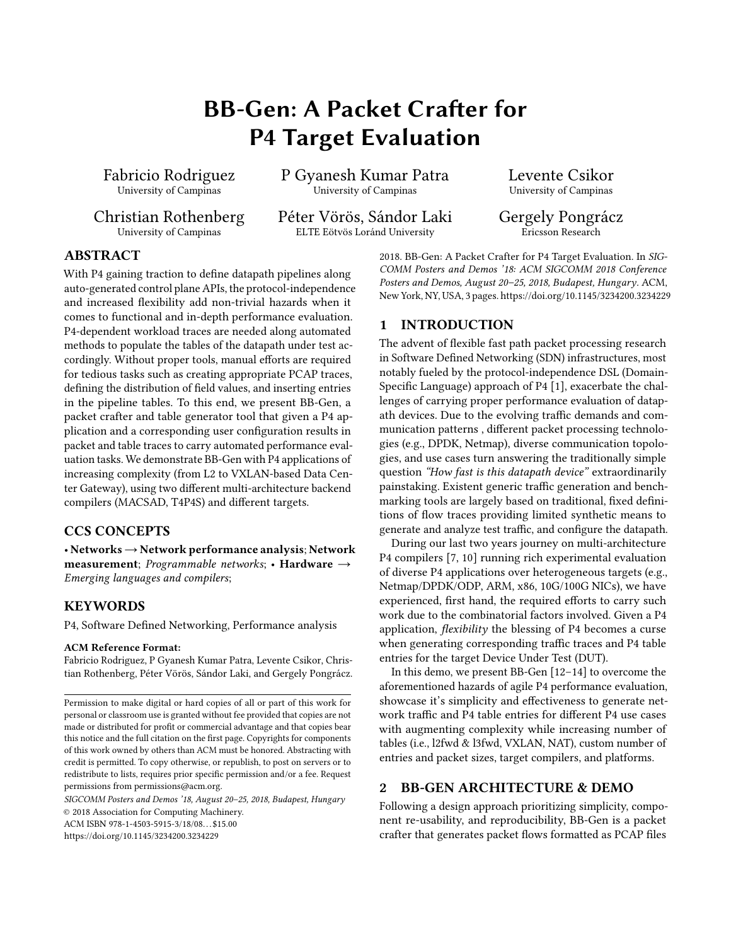# BB-Gen: A Packet Crafter for P4 Target Evaluation

<span id="page-0-0"></span>Fabricio Rodriguez University of Campinas

Christian Rothenberg University of Campinas

P Gyanesh Kumar Patra University of Campinas

Péter Vörös, Sándor Laki ELTE Eötvös Loránd University

Levente Csikor University of Campinas

Gergely Pongrácz Ericsson Research

# ABSTRACT

With P4 gaining traction to define datapath pipelines along auto-generated control plane APIs, the protocol-independence and increased flexibility add non-trivial hazards when it comes to functional and in-depth performance evaluation. P4-dependent workload traces are needed along automated methods to populate the tables of the datapath under test accordingly. Without proper tools, manual efforts are required for tedious tasks such as creating appropriate PCAP traces, defining the distribution of field values, and inserting entries in the pipeline tables. To this end, we present BB-Gen, a packet crafter and table generator tool that given a P4 application and a corresponding user configuration results in packet and table traces to carry automated performance evaluation tasks. We demonstrate BB-Gen with P4 applications of increasing complexity (from L2 to VXLAN-based Data Center Gateway), using two different multi-architecture backend compilers (MACSAD, T4P4S) and different targets.

## CCS CONCEPTS

• Networks→Network performance analysis; Network measurement; Programmable networks; • Hardware  $\rightarrow$ Emerging languages and compilers;

### **KEYWORDS**

P4, Software Defined Networking, Performance analysis

#### ACM Reference Format:

Fabricio Rodriguez, P Gyanesh Kumar Patra, Levente Csikor, Christian Rothenberg, Péter Vörös, Sándor Laki, and Gergely Pongrácz.

SIGCOMM Posters and Demos '18, August 20–25, 2018, Budapest, Hungary © 2018 Association for Computing Machinery.

ACM ISBN 978-1-4503-5915-3/18/08. . . \$15.00

<https://doi.org/10.1145/3234200.3234229>

2018. BB-Gen: A Packet Crafter for P4 Target Evaluation. In SIG-COMM Posters and Demos '18: ACM SIGCOMM 2018 Conference Posters and Demos, August 20–25, 2018, Budapest, Hungary. ACM, New York, NY, USA, [3](#page-2-0) pages.<https://doi.org/10.1145/3234200.3234229>

### 1 INTRODUCTION

The advent of flexible fast path packet processing research in Software Defined Networking (SDN) infrastructures, most notably fueled by the protocol-independence DSL (Domain-Specific Language) approach of P4 [\[1\]](#page-2-1), exacerbate the challenges of carrying proper performance evaluation of datapath devices. Due to the evolving traffic demands and communication patterns , different packet processing technologies (e.g., DPDK, Netmap), diverse communication topologies, and use cases turn answering the traditionally simple question "How fast is this datapath device" extraordinarily painstaking. Existent generic traffic generation and benchmarking tools are largely based on traditional, fixed definitions of flow traces providing limited synthetic means to generate and analyze test traffic, and configure the datapath.

During our last two years journey on multi-architecture P4 compilers [\[7,](#page-2-2) [10\]](#page-2-3) running rich experimental evaluation of diverse P4 applications over heterogeneous targets (e.g., Netmap/DPDK/ODP, ARM, x86, 10G/100G NICs), we have experienced, first hand, the required efforts to carry such work due to the combinatorial factors involved. Given a P4 application, flexibility the blessing of P4 becomes a curse when generating corresponding traffic traces and P4 table entries for the target Device Under Test (DUT).

In this demo, we present BB-Gen [\[12–](#page-2-4)[14\]](#page-2-5) to overcome the aforementioned hazards of agile P4 performance evaluation, showcase it's simplicity and effectiveness to generate network traffic and P4 table entries for different P4 use cases with augmenting complexity while increasing number of tables (i.e., l2fwd & l3fwd, VXLAN, NAT), custom number of entries and packet sizes, target compilers, and platforms.

# 2 BB-GEN ARCHITECTURE & DEMO

Following a design approach prioritizing simplicity, component re-usability, and reproducibility, BB-Gen is a packet crafter that generates packet flows formatted as PCAP files

Permission to make digital or hard copies of all or part of this work for personal or classroom use is granted without fee provided that copies are not made or distributed for profit or commercial advantage and that copies bear this notice and the full citation on the first page. Copyrights for components of this work owned by others than ACM must be honored. Abstracting with credit is permitted. To copy otherwise, or republish, to post on servers or to redistribute to lists, requires prior specific permission and/or a fee. Request permissions from permissions@acm.org.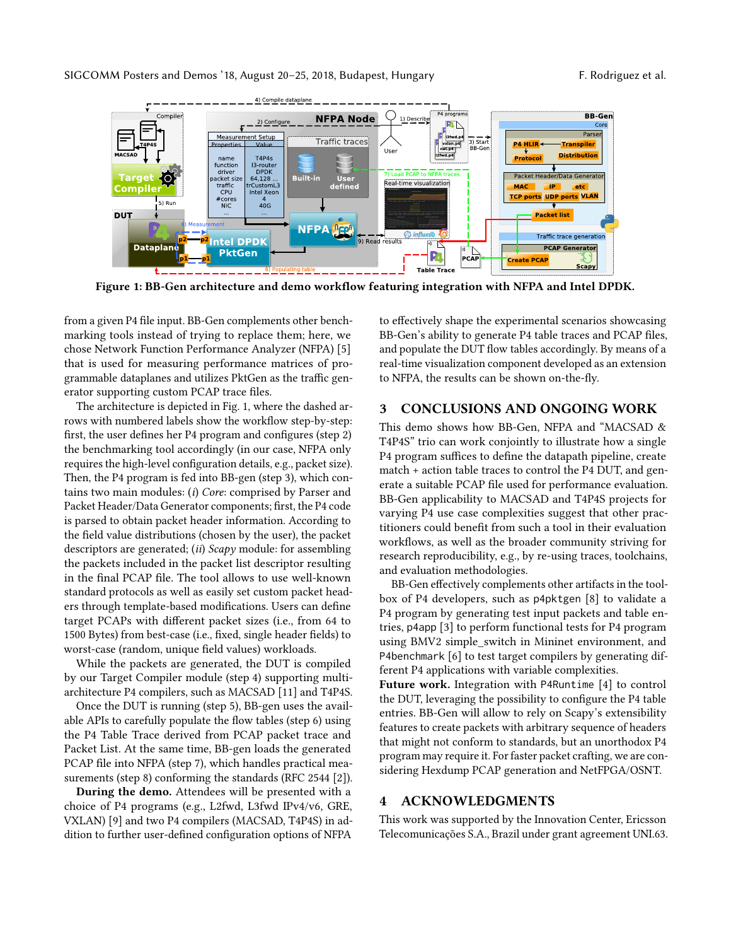<span id="page-1-0"></span>

Figure 1: BB-Gen architecture and demo workflow featuring integration with NFPA and Intel DPDK.

from a given P4 file input. BB-Gen complements other benchmarking tools instead of trying to replace them; here, we chose [Network Function Performance Analyzer \(NFPA\)](#page-0-0) [\[5\]](#page-2-6) that is used for measuring performance matrices of programmable dataplanes and utilizes PktGen as the traffic generator supporting custom PCAP trace files.

The architecture is depicted in Fig. [1,](#page-1-0) where the dashed arrows with numbered labels show the workflow step-by-step: first, the user defines her P4 program and configures (step 2) the benchmarking tool accordingly (in our case, NFPA only requires the high-level configuration details, e.g., packet size). Then, the P4 program is fed into BB-gen (step 3), which contains two main modules: (i) Core: comprised by Parser and Packet Header/Data Generator components; first, the P4 code is parsed to obtain packet header information. According to the field value distributions (chosen by the user), the packet descriptors are generated; (*ii*)  $Scapy$  module: for assembling the packets included in the packet list descriptor resulting in the final PCAP file. The tool allows to use well-known standard protocols as well as easily set custom packet headers through template-based modifications. Users can define target PCAPs with different packet sizes (i.e., from 64 to 1500 Bytes) from best-case (i.e., fixed, single header fields) to worst-case (random, unique field values) workloads.

While the packets are generated, the DUT is compiled by our Target Compiler module (step 4) supporting multiarchitecture P4 compilers, such as MACSAD [\[11\]](#page-2-7) and T4P4S.

Once the DUT is running (step 5), BB-gen uses the available APIs to carefully populate the flow tables (step 6) using the P4 Table Trace derived from PCAP packet trace and Packet List. At the same time, BB-gen loads the generated PCAP file into NFPA (step 7), which handles practical measurements (step 8) conforming the standards (RFC 2544 [\[2\]](#page-2-8)).

During the demo. Attendees will be presented with a choice of P4 programs (e.g., L2fwd, L3fwd IPv4/v6, GRE, VXLAN) [\[9\]](#page-2-9) and two P4 compilers (MACSAD, T4P4S) in addition to further user-defined configuration options of NFPA

to effectively shape the experimental scenarios showcasing BB-Gen's ability to generate P4 table traces and PCAP files, and populate the DUT flow tables accordingly. By means of a real-time visualization component developed as an extension to NFPA, the results can be shown on-the-fly.

#### 3 CONCLUSIONS AND ONGOING WORK

This demo shows how BB-Gen, NFPA and "MACSAD & T4P4S" trio can work conjointly to illustrate how a single P4 program suffices to define the datapath pipeline, create match + action table traces to control the P4 DUT, and generate a suitable PCAP file used for performance evaluation. BB-Gen applicability to MACSAD and T4P4S projects for varying P4 use case complexities suggest that other practitioners could benefit from such a tool in their evaluation workflows, as well as the broader community striving for research reproducibility, e.g., by re-using traces, toolchains, and evaluation methodologies.

BB-Gen effectively complements other artifacts in the toolbox of P4 developers, such as p4pktgen [\[8\]](#page-2-10) to validate a P4 program by generating test input packets and table entries, p4app [\[3\]](#page-2-11) to perform functional tests for P4 program using BMV2 simple\_switch in Mininet environment, and P4benchmark [\[6\]](#page-2-12) to test target compilers by generating different P4 applications with variable complexities.

Future work. Integration with P4Runtime [\[4\]](#page-2-13) to control the DUT, leveraging the possibility to configure the P4 table entries. BB-Gen will allow to rely on Scapy's extensibility features to create packets with arbitrary sequence of headers that might not conform to standards, but an unorthodox P4 program may require it. For faster packet crafting, we are considering Hexdump PCAP generation and NetFPGA/OSNT.

#### 4 ACKNOWLEDGMENTS

This work was supported by the Innovation Center, Ericsson Telecomunicações S.A., Brazil under grant agreement UNI.63.